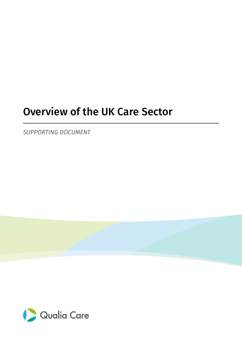# Overview of the UK Care Sector

*SUPPORTING DOCUMENT*

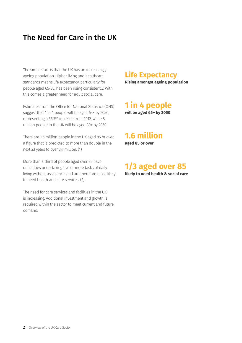# The Need for Care in the UK

The simple fact is that the UK has an increasingly ageing population. Higher living and healthcare standards means life expectancy, particularly for people aged 65-85, has been rising consistently. With this comes a greater need for adult social care.

Estimates from the Office for National Statistics (ONS) suggest that 1 in 4 people will be aged 65+ by 2050, representing a 56.3% increase from 2012, while 8 million people in the UK will be aged 80+ by 2050.

There are 1.6 million people in the UK aged 85 or over, a figure that is predicted to more than double in the next 23 years to over 3.4 million. (1)

More than a third of people aged over 85 have difficulties undertaking five or more tasks of daily living without assistance, and are therefore most likely to need health and care services. (2)

The need for care services and facilities in the UK is increasing. Additional investment and growth is required within the sector to meet current and future demand.

#### **Life Expectancy**

**Rising amongst ageing population**

#### **will be aged 65+ by 2050 1 in 4 people**

# **1.6 million**

**aged 85 or over**

#### **likely to need health & social care 1/3 aged over 85**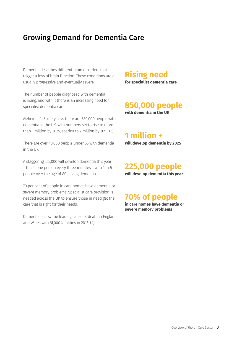### Growing Demand for Dementia Care

Dementia describes different brain disorders that trigger a loss of brain function. These conditions are all usually progressive and eventually severe.

The number of people diagnosed with dementia is rising, and with it there is an increasing need for specialist dementia care.

Alzheimer's Society says there are 850,000 people with dementia in the UK, with numbers set to rise to more than 1 million by 2025, soaring to 2 million by 2051. (3)

There are over 40,000 people under 65 with dementia in the UK.

A staggering 225,000 will develop dementia this year – that's one person every three minutes – with 1 in 6 people over the age of 80 having dementia.

70 per cent of people in care homes have dementia or severe memory problems. Specialist care provision is needed across the UK to ensure those in need get the care that is right for their needs.

Dementia is now the leading cause of death in England and Wales with 61,000 fatalities in 2015. (4)

#### **Rising need**

**for specialist dementia care**

#### **850,000 people**

**with dementia in the UK**

**will develop dementia by 2025 1 million +**

**will develop dementia this year 225,000 people**

# **70% of people**

**in care homes have dementia or severe memory problems**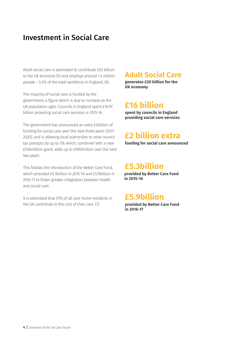### Investment in Social Care

Adult social care is estimated to contribute £20 billion to the UK economy (5) and employs around 1.4 million people – 5.3% of the total workforce in England. (6)

The majority of social care is funded by the government, a figure which is due to increase as the UK population ages. Councils in England spent £16.97 billion providing social care services in 2015-16.

The government has announced an extra £2billion of funding for social care over the next three years (2017- 2020), and is allowing local authorities to raise council tax precepts by up to 5% which, combined with a new £240million grant, adds up to £900million over the next two years.

This follows the introduction of the Better Care Fund, which provided £5.3billion in 2015-16 and £5.9billion in 2016-17 to foster greater integration between health and social care.

It is estimated that 57% of all care home residents in the UK contribute to the cost of their care. (7)

#### **Adult Social Care**

**generates £20 billion for the UK economy**

# **£16 billion**

**spent by councils in England providing social care services**

# **£2 billion extra**

**funding for social care announced**

#### **£5.3billion**

**provided by Better Care Fund in 2015-16**

### **£5.9billion**

**provided by Better Care Fund in 2016-17**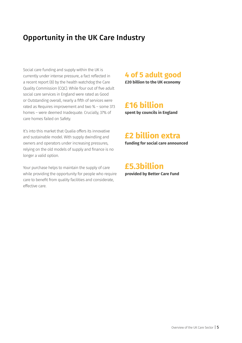# Opportunity in the UK Care Industry

Social care funding and supply within the UK is currently under intense pressure, a fact reflected in a recent report (8) by the health watchdog the Care Quality Commission (CQC). While four out of five adult social care services in England were rated as Good or Outstanding overall, nearly a fifth of services were rated as Requires improvement and two % – some 373 homes – were deemed Inadequate. Crucially, 37% of care homes failed on Safety.

It's into this market that Qualia offers its innovative and sustainable model. With supply dwindling and owners and operators under increasing pressures, relying on the old models of supply and finance is no longer a valid option.

Your purchase helps to maintain the supply of care while providing the opportunity for people who require care to benefit from quality facilities and considerate, effective care.

#### **4 of 5 adult good**

**£20 billion to the UK economy**

### **£16 billion**

**spent by councils in England**

### **£2 billion extra**

**funding for social care announced**

**provided by Better Care Fund £5.3billion**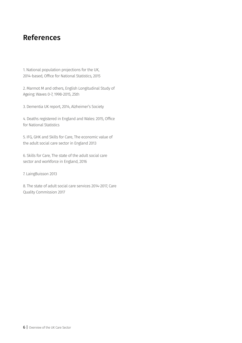#### References

1. National population projections for the UK, 2014-based, Office for National Statistics, 2015

2. Marmot M and others, English Longitudinal Study of Ageing: Waves 0-7, 1998-2015, 25th

3. Dementia UK report, 2014, Alzheimer's Society

4. Deaths registered in England and Wales: 2015, Office for National Statistics

5. IFG, GHK and Skills for Care, The economic value of the adult social care sector in England 2013

6. Skills for Care, The state of the adult social care sector and workforce in England, 2016

7. LaingBuisson 2013

8. The state of adult social care services 2014-2017, Care Quality Commission 2017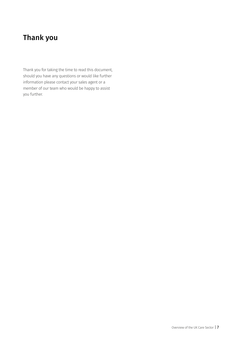# Thank you

Thank you for taking the time to read this document, should you have any questions or would like further information please contact your sales agent or a member of our team who would be happy to assist you further.